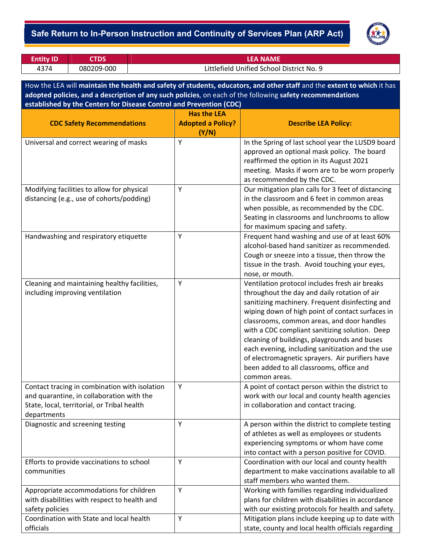### ‐ **Safe Return to In-Person Instruction and Continuity of Services Plan (ARP Act)**



| <b>Entity ID</b> |            | .EA NAME                                  |
|------------------|------------|-------------------------------------------|
| 4374             | 080209-000 | Littlefield Unified School District No. 9 |

How the LEA will **maintain the health and safety of students, educators, and other staff** and the **extent to which** it has **adopted policies, and a description of any such policies**, on each of the following **safety recommendations established by the Centers for Disease Control and Prevention (CDC)**

|                                                                                            | <b>Has the LEA</b>       |                                                                                                    |
|--------------------------------------------------------------------------------------------|--------------------------|----------------------------------------------------------------------------------------------------|
| <b>CDC Safety Recommendations</b>                                                          | <b>Adopted a Policy?</b> | <b>Describe LEA Policy:</b>                                                                        |
|                                                                                            | (Y/N)                    |                                                                                                    |
| Universal and correct wearing of masks                                                     | Y                        | In the Spring of last school year the LUSD9 board                                                  |
|                                                                                            |                          | approved an optional mask policy. The board                                                        |
|                                                                                            |                          | reaffirmed the option in its August 2021                                                           |
|                                                                                            |                          | meeting. Masks if worn are to be worn properly                                                     |
|                                                                                            |                          | as recommended by the CDC.                                                                         |
| Modifying facilities to allow for physical                                                 | Υ                        | Our mitigation plan calls for 3 feet of distancing                                                 |
| distancing (e.g., use of cohorts/podding)                                                  |                          | in the classroom and 6 feet in common areas                                                        |
|                                                                                            |                          | when possible, as recommended by the CDC.                                                          |
|                                                                                            |                          | Seating in classrooms and lunchrooms to allow                                                      |
|                                                                                            |                          | for maximum spacing and safety.                                                                    |
| Handwashing and respiratory etiquette                                                      | Υ                        | Frequent hand washing and use of at least 60%                                                      |
|                                                                                            |                          | alcohol-based hand sanitizer as recommended.                                                       |
|                                                                                            |                          | Cough or sneeze into a tissue, then throw the                                                      |
|                                                                                            |                          | tissue in the trash. Avoid touching your eyes,                                                     |
|                                                                                            |                          | nose, or mouth.                                                                                    |
| Cleaning and maintaining healthy facilities,                                               | Υ                        | Ventilation protocol includes fresh air breaks                                                     |
| including improving ventilation                                                            |                          | throughout the day and daily rotation of air                                                       |
|                                                                                            |                          | sanitizing machinery. Frequent disinfecting and                                                    |
|                                                                                            |                          | wiping down of high point of contact surfaces in                                                   |
|                                                                                            |                          | classrooms, common areas, and door handles                                                         |
|                                                                                            |                          | with a CDC compliant sanitizing solution. Deep                                                     |
|                                                                                            |                          | cleaning of buildings, playgrounds and buses                                                       |
|                                                                                            |                          | each evening, including sanitization and the use                                                   |
|                                                                                            |                          | of electromagnetic sprayers. Air purifiers have                                                    |
|                                                                                            |                          | been added to all classrooms, office and                                                           |
|                                                                                            | Y                        | common areas.                                                                                      |
| Contact tracing in combination with isolation<br>and quarantine, in collaboration with the |                          | A point of contact person within the district to<br>work with our local and county health agencies |
| State, local, territorial, or Tribal health                                                |                          | in collaboration and contact tracing.                                                              |
| departments                                                                                |                          |                                                                                                    |
| Diagnostic and screening testing                                                           | Υ                        | A person within the district to complete testing                                                   |
|                                                                                            |                          | of athletes as well as employees or students                                                       |
|                                                                                            |                          | experiencing symptoms or whom have come                                                            |
|                                                                                            |                          | into contact with a person positive for COVID.                                                     |
| Efforts to provide vaccinations to school                                                  | Y                        | Coordination with our local and county health                                                      |
| communities                                                                                |                          | department to make vaccinations available to all                                                   |
|                                                                                            |                          | staff members who wanted them.                                                                     |
| Appropriate accommodations for children                                                    | Υ                        | Working with families regarding individualized                                                     |
| with disabilities with respect to health and                                               |                          | plans for children with disabilities in accordance                                                 |
| safety policies                                                                            |                          | with our existing protocols for health and safety.                                                 |
| Coordination with State and local health                                                   | Υ                        | Mitigation plans include keeping up to date with                                                   |
| officials                                                                                  |                          | state, county and local health officials regarding                                                 |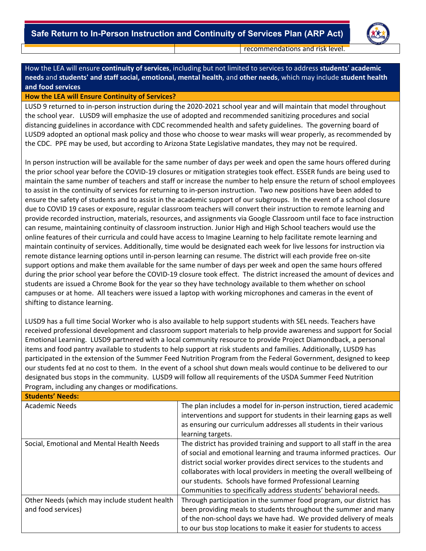

recommendations and risk level.

How the LEA will ensure **continuity of services**, including but not limited to services to address **students' academic needs** and **students' and staff social, emotional, mental health**, and **other needs**, which may include **student health and food services**

#### **How the LEA will Ensure Continuity of Services?**

LUSD 9 returned to in-person instruction during the 2020-2021 school year and will maintain that model throughout the school year. LUSD9 will emphasize the use of adopted and recommended sanitizing procedures and social distancing guidelines in accordance with CDC recommended health and safety guidelines. The governing board of LUSD9 adopted an optional mask policy and those who choose to wear masks will wear properly, as recommended by the CDC. PPE may be used, but according to Arizona State Legislative mandates, they may not be required.

In person instruction will be available for the same number of days per week and open the same hours offered during the prior school year before the COVID‐19 closures or mitigation strategies took effect. ESSER funds are being used to maintain the same number of teachers and staff or increase the number to help ensure the return of school employees to assist in the continuity of services for returning to in‐person instruction. Two new positions have been added to ensure the safety of students and to assist in the academic support of our subgroups. In the event of a school closure due to COVID 19 cases or exposure, regular classroom teachers will convert their instruction to remote learning and provide recorded instruction, materials, resources, and assignments via Google Classroom until face to face instruction can resume, maintaining continuity of classroom instruction. Junior High and High School teachers would use the online features of their curricula and could have access to Imagine Learning to help facilitate remote learning and maintain continuity of services. Additionally, time would be designated each week for live lessons for instruction via remote distance learning options until in‐person learning can resume. The district will each provide free on‐site support options and make them available for the same number of days per week and open the same hours offered during the prior school year before the COVID‐19 closure took effect. The district increased the amount of devices and students are issued a Chrome Book for the year so they have technology available to them whether on school campuses or at home. All teachers were issued a laptop with working microphones and cameras in the event of shifting to distance learning.

LUSD9 has a full time Social Worker who is also available to help support students with SEL needs. Teachers have received professional development and classroom support materials to help provide awareness and support for Social Emotional Learning. LUSD9 partnered with a local community resource to provide Project Diamondback, a personal items and food pantry available to students to help support at risk students and families. Additionally, LUSD9 has participated in the extension of the Summer Feed Nutrition Program from the Federal Government, designed to keep our students fed at no cost to them. In the event of a school shut down meals would continue to be delivered to our designated bus stops in the community. LUSD9 will follow all requirements of the USDA Summer Feed Nutrition Program, including any changes or modifications.

| <b>Students' Needs:</b>                                             |                                                                                                                                                                                                                                                                                                                                                                                                                              |  |  |  |
|---------------------------------------------------------------------|------------------------------------------------------------------------------------------------------------------------------------------------------------------------------------------------------------------------------------------------------------------------------------------------------------------------------------------------------------------------------------------------------------------------------|--|--|--|
| Academic Needs                                                      | The plan includes a model for in-person instruction, tiered academic<br>interventions and support for students in their learning gaps as well<br>as ensuring our curriculum addresses all students in their various<br>learning targets.                                                                                                                                                                                     |  |  |  |
| Social, Emotional and Mental Health Needs                           | The district has provided training and support to all staff in the area<br>of social and emotional learning and trauma informed practices. Our<br>district social worker provides direct services to the students and<br>collaborates with local providers in meeting the overall wellbeing of<br>our students. Schools have formed Professional Learning<br>Communities to specifically address students' behavioral needs. |  |  |  |
| Other Needs (which may include student health<br>and food services) | Through participation in the summer food program, our district has<br>been providing meals to students throughout the summer and many<br>of the non-school days we have had. We provided delivery of meals<br>to our bus stop locations to make it easier for students to access                                                                                                                                             |  |  |  |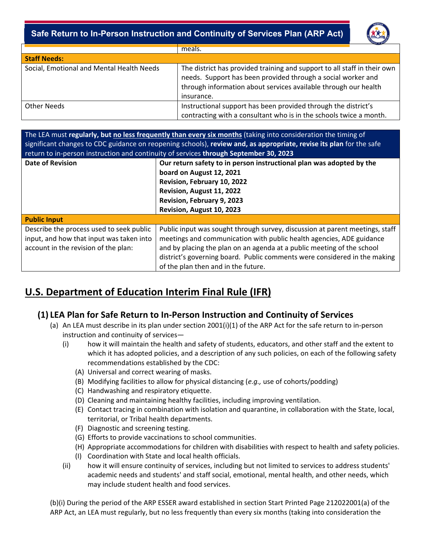### ‐ **Safe Return to In-Person Instruction and Continuity of Services Plan (ARP Act)**



|                                           | meals.                                                                                                                                                                                                                    |  |  |  |
|-------------------------------------------|---------------------------------------------------------------------------------------------------------------------------------------------------------------------------------------------------------------------------|--|--|--|
| <b>Staff Needs:</b>                       |                                                                                                                                                                                                                           |  |  |  |
| Social, Emotional and Mental Health Needs | The district has provided training and support to all staff in their own<br>needs. Support has been provided through a social worker and<br>through information about services available through our health<br>insurance. |  |  |  |
| <b>Other Needs</b>                        | Instructional support has been provided through the district's<br>contracting with a consultant who is in the schools twice a month.                                                                                      |  |  |  |

The LEA must **regularly, but no less frequently than every six months** (taking into consideration the timing of significant changes to CDC guidance on reopening schools), **review and, as appropriate, revise its plan** for the safe return to in‐person instruction and continuity of services **through September 30, 2023**

| <b>Date of Revision</b>                  | Our return safety to in person instructional plan was adopted by the         |
|------------------------------------------|------------------------------------------------------------------------------|
|                                          | board on August 12, 2021                                                     |
|                                          | Revision, February 10, 2022                                                  |
|                                          | Revision, August 11, 2022                                                    |
|                                          | Revision, February 9, 2023                                                   |
|                                          | Revision, August 10, 2023                                                    |
| <b>Public Input</b>                      |                                                                              |
| Describe the process used to seek public | Public input was sought through survey, discussion at parent meetings, staff |
| input, and how that input was taken into | meetings and communication with public health agencies, ADE guidance         |
| account in the revision of the plan:     | and by placing the plan on an agenda at a public meeting of the school       |
|                                          | district's governing board. Public comments were considered in the making    |
|                                          | of the plan then and in the future.                                          |

# **U.S. Department of Education Interim Final Rule (IFR)**

## **(1) LEA Plan for Safe Return to In‐Person Instruction and Continuity of Services**

- (a) An LEA must describe in its plan under section 2001(i)(1) of the ARP Act for the safe return to in‐person instruction and continuity of services—
	- (i) how it will maintain the health and safety of students, educators, and other staff and the extent to which it has adopted policies, and a description of any such policies, on each of the following safety recommendations established by the CDC:
		- (A) Universal and correct wearing of masks.
		- (B) Modifying facilities to allow for physical distancing (*e.g.,* use of cohorts/podding)
		- (C) Handwashing and respiratory etiquette.
		- (D) Cleaning and maintaining healthy facilities, including improving ventilation.
		- (E) Contact tracing in combination with isolation and quarantine, in collaboration with the State, local, territorial, or Tribal health departments.
		- (F) Diagnostic and screening testing.
		- (G) Efforts to provide vaccinations to school communities.
		- (H) Appropriate accommodations for children with disabilities with respect to health and safety policies.
		- (I) Coordination with State and local health officials.
	- (ii) how it will ensure continuity of services, including but not limited to services to address students' academic needs and students' and staff social, emotional, mental health, and other needs, which may include student health and food services.

(b)(i) During the period of the ARP ESSER award established in section Start Printed Page 212022001(a) of the ARP Act, an LEA must regularly, but no less frequently than every six months (taking into consideration the